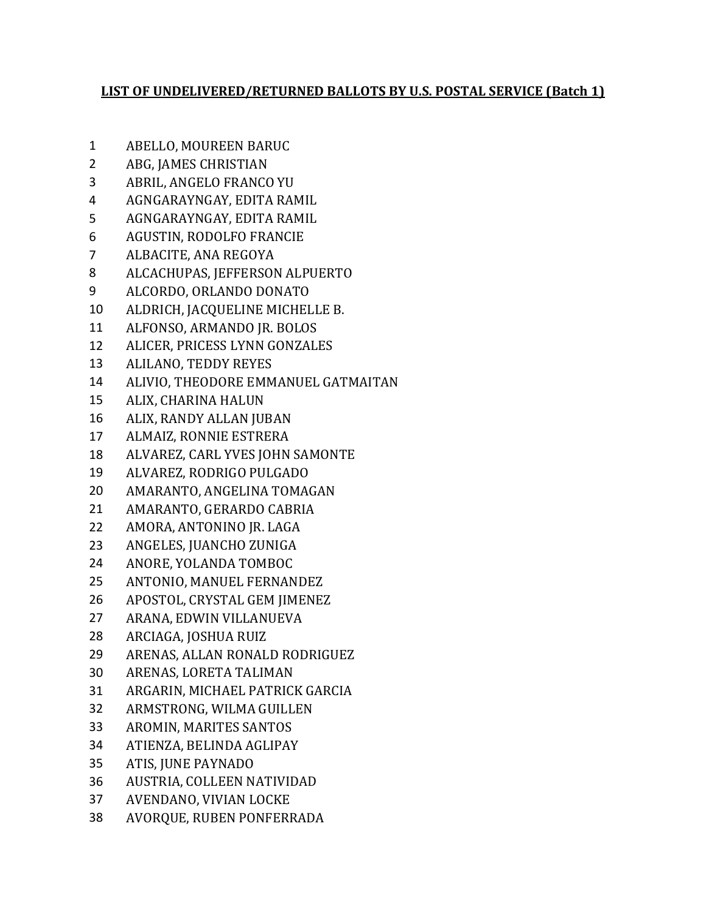## **LIST OF UNDELIVERED/RETURNED BALLOTS BY U.S. POSTAL SERVICE (Batch 1)**

- ABELLO, MOUREEN BARUC
- ABG, JAMES CHRISTIAN
- ABRIL, ANGELO FRANCO YU
- AGNGARAYNGAY, EDITA RAMIL
- AGNGARAYNGAY, EDITA RAMIL
- AGUSTIN, RODOLFO FRANCIE
- ALBACITE, ANA REGOYA
- ALCACHUPAS, JEFFERSON ALPUERTO
- ALCORDO, ORLANDO DONATO
- ALDRICH, JACQUELINE MICHELLE B.
- ALFONSO, ARMANDO JR. BOLOS
- ALICER, PRICESS LYNN GONZALES
- ALILANO, TEDDY REYES
- ALIVIO, THEODORE EMMANUEL GATMAITAN
- ALIX, CHARINA HALUN
- ALIX, RANDY ALLAN JUBAN
- ALMAIZ, RONNIE ESTRERA
- ALVAREZ, CARL YVES JOHN SAMONTE
- ALVAREZ, RODRIGO PULGADO
- AMARANTO, ANGELINA TOMAGAN
- AMARANTO, GERARDO CABRIA
- AMORA, ANTONINO JR. LAGA
- ANGELES, JUANCHO ZUNIGA
- ANORE, YOLANDA TOMBOC
- ANTONIO, MANUEL FERNANDEZ
- APOSTOL, CRYSTAL GEM JIMENEZ
- ARANA, EDWIN VILLANUEVA
- ARCIAGA, JOSHUA RUIZ
- ARENAS, ALLAN RONALD RODRIGUEZ
- ARENAS, LORETA TALIMAN
- ARGARIN, MICHAEL PATRICK GARCIA
- ARMSTRONG, WILMA GUILLEN
- AROMIN, MARITES SANTOS
- ATIENZA, BELINDA AGLIPAY
- ATIS, JUNE PAYNADO
- AUSTRIA, COLLEEN NATIVIDAD
- AVENDANO, VIVIAN LOCKE
- AVORQUE, RUBEN PONFERRADA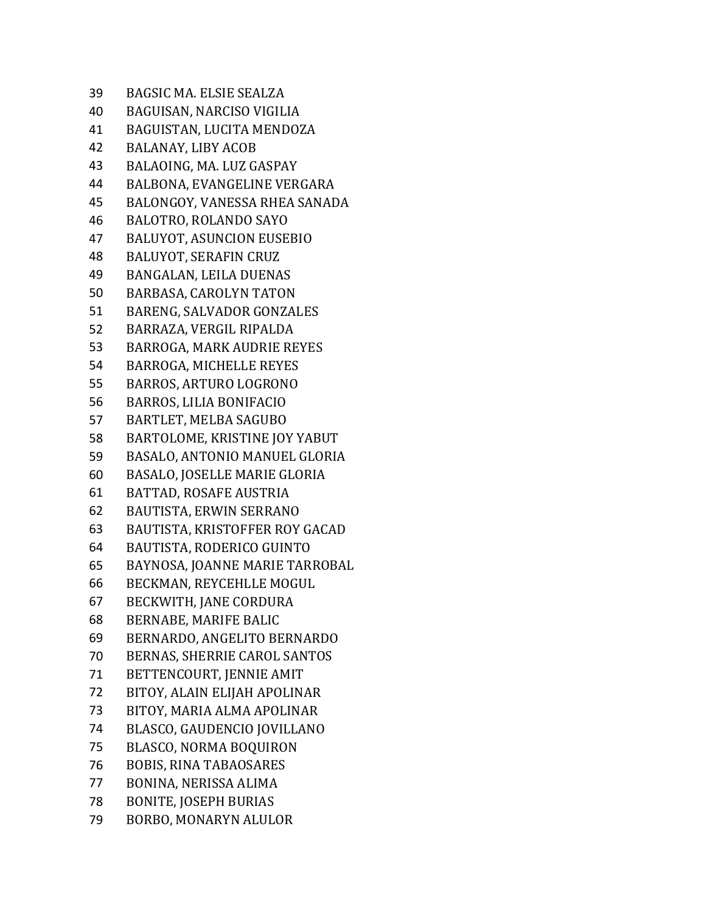| <b>BAGSIC MA. ELSIE SEALZA</b>    |
|-----------------------------------|
| BAGUISAN, NARCISO VIGILIA         |
| BAGUISTAN, LUCITA MENDOZA         |
| <b>BALANAY, LIBY ACOB</b>         |
| BALAOING, MA. LUZ GASPAY          |
| BALBONA, EVANGELINE VERGARA       |
| BALONGOY, VANESSA RHEA SANADA     |
| BALOTRO, ROLANDO SAYO             |
| <b>BALUYOT, ASUNCION EUSEBIO</b>  |
| <b>BALUYOT, SERAFIN CRUZ</b>      |
| BANGALAN, LEILA DUENAS            |
| BARBASA, CAROLYN TATON            |
| BARENG, SALVADOR GONZALES         |
| BARRAZA, VERGIL RIPALDA           |
| <b>BARROGA, MARK AUDRIE REYES</b> |
| <b>BARROGA, MICHELLE REYES</b>    |
| BARROS, ARTURO LOGRONO            |
| <b>BARROS, LILIA BONIFACIO</b>    |
| <b>BARTLET, MELBA SAGUBO</b>      |
| BARTOLOME, KRISTINE JOY YABUT     |
| BASALO, ANTONIO MANUEL GLORIA     |
| BASALO, JOSELLE MARIE GLORIA      |
| BATTAD, ROSAFE AUSTRIA            |
| BAUTISTA, ERWIN SERRANO           |
| BAUTISTA, KRISTOFFER ROY GACAD    |
| <b>BAUTISTA, RODERICO GUINTO</b>  |
| BAYNOSA, JOANNE MARIE TARROBAL    |
| BECKMAN, REYCEHLLE MOGUL          |
| BECKWITH, JANE CORDURA            |
| BERNABE, MARIFE BALIC             |
| BERNARDO, ANGELITO BERNARDO       |
| BERNAS, SHERRIE CAROL SANTOS      |
| BETTENCOURT, JENNIE AMIT          |
| BITOY, ALAIN ELIJAH APOLINAR      |
| BITOY, MARIA ALMA APOLINAR        |
| BLASCO, GAUDENCIO JOVILLANO       |
| <b>BLASCO, NORMA BOQUIRON</b>     |
| <b>BOBIS, RINA TABAOSARES</b>     |
| BONINA, NERISSA ALIMA             |
| <b>BONITE, JOSEPH BURIAS</b>      |
| BORBO, MONARYN ALULOR             |
|                                   |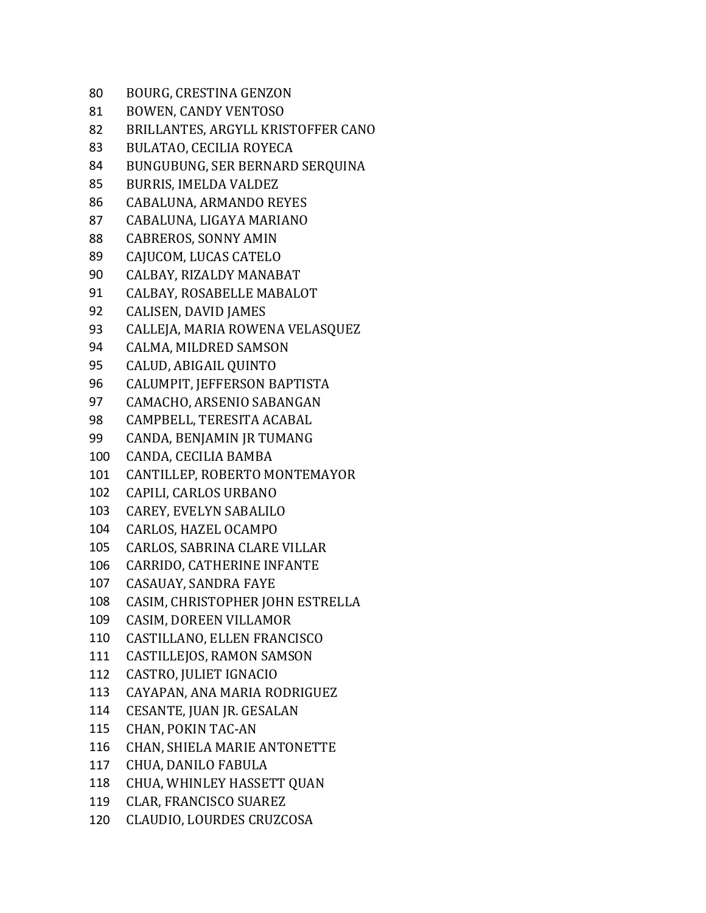| 80  | BOURG, CRESTINA GENZON             |
|-----|------------------------------------|
| 81  | <b>BOWEN, CANDY VENTOSO</b>        |
| 82  | BRILLANTES, ARGYLL KRISTOFFER CANO |
| 83  | BULATAO, CECILIA ROYECA            |
| 84  | BUNGUBUNG, SER BERNARD SERQUINA    |
| 85  | <b>BURRIS, IMELDA VALDEZ</b>       |
| 86  | CABALUNA, ARMANDO REYES            |
| 87  | CABALUNA, LIGAYA MARIANO           |
| 88  | <b>CABREROS, SONNY AMIN</b>        |
| 89  | CAJUCOM, LUCAS CATELO              |
| 90  | CALBAY, RIZALDY MANABAT            |
| 91  | CALBAY, ROSABELLE MABALOT          |
| 92  | <b>CALISEN, DAVID JAMES</b>        |
| 93  | CALLEJA, MARIA ROWENA VELASQUEZ    |
| 94  | CALMA, MILDRED SAMSON              |
| 95  | <b>CALUD, ABIGAIL QUINTO</b>       |
| 96  | CALUMPIT, JEFFERSON BAPTISTA       |
| 97  | CAMACHO, ARSENIO SABANGAN          |
| 98  | CAMPBELL, TERESITA ACABAL          |
| 99  | CANDA, BENJAMIN JR TUMANG          |
| 100 | CANDA, CECILIA BAMBA               |
| 101 | CANTILLEP, ROBERTO MONTEMAYOR      |
| 102 | CAPILI, CARLOS URBANO              |
| 103 | CAREY, EVELYN SABALILO             |
| 104 | CARLOS, HAZEL OCAMPO               |
| 105 | CARLOS, SABRINA CLARE VILLAR       |
| 106 | CARRIDO, CATHERINE INFANTE         |
| 107 | <b>CASAUAY, SANDRA FAYE</b>        |
| 108 | CASIM, CHRISTOPHER JOHN ESTRELLA   |
| 109 | <b>CASIM, DOREEN VILLAMOR</b>      |
| 110 | CASTILLANO, ELLEN FRANCISCO        |
| 111 | <b>CASTILLEJOS, RAMON SAMSON</b>   |
| 112 | CASTRO, JULIET IGNACIO             |
| 113 | CAYAPAN, ANA MARIA RODRIGUEZ       |
| 114 | CESANTE, JUAN JR. GESALAN          |
| 115 | <b>CHAN, POKIN TAC-AN</b>          |
| 116 | CHAN, SHIELA MARIE ANTONETTE       |
| 117 | CHUA, DANILO FABULA                |
| 118 | CHUA, WHINLEY HASSETT QUAN         |
| 119 | CLAR, FRANCISCO SUAREZ             |
| 120 | CLAUDIO, LOURDES CRUZCOSA          |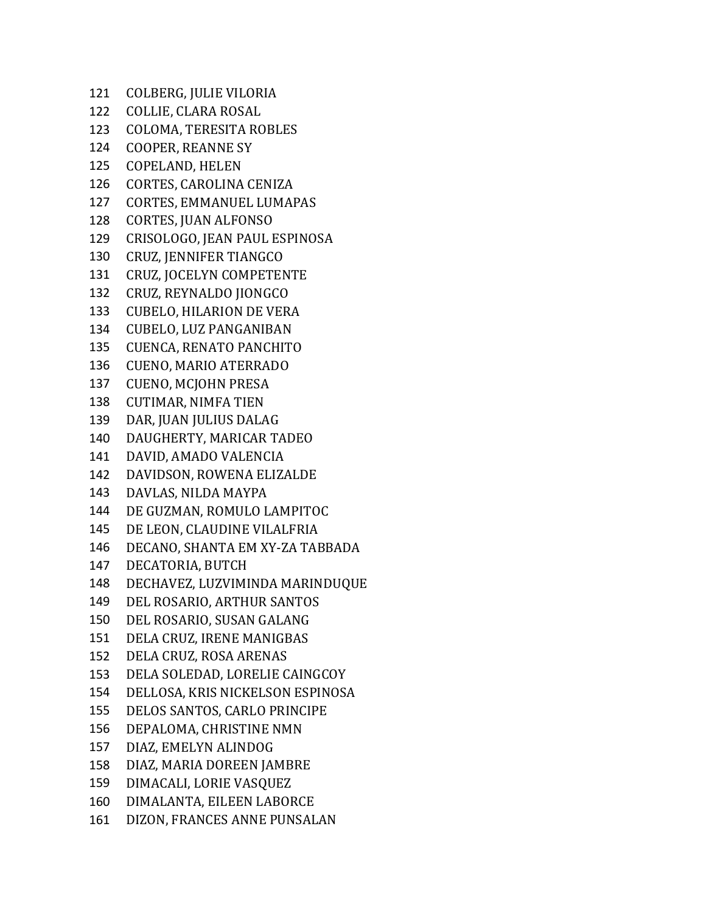COLBERG, JULIE VILORIA COLLIE, CLARA ROSAL COLOMA, TERESITA ROBLES COOPER, REANNE SY COPELAND, HELEN CORTES, CAROLINA CENIZA CORTES, EMMANUEL LUMAPAS CORTES, JUAN ALFONSO CRISOLOGO, JEAN PAUL ESPINOSA CRUZ, JENNIFER TIANGCO CRUZ, JOCELYN COMPETENTE CRUZ, REYNALDO JIONGCO CUBELO, HILARION DE VERA CUBELO, LUZ PANGANIBAN CUENCA, RENATO PANCHITO CUENO, MARIO ATERRADO CUENO, MCJOHN PRESA CUTIMAR, NIMFA TIEN DAR, JUAN JULIUS DALAG DAUGHERTY, MARICAR TADEO DAVID, AMADO VALENCIA DAVIDSON, ROWENA ELIZALDE DAVLAS, NILDA MAYPA DE GUZMAN, ROMULO LAMPITOC DE LEON, CLAUDINE VILALFRIA DECANO, SHANTA EM XY-ZA TABBADA DECATORIA, BUTCH DECHAVEZ, LUZVIMINDA MARINDUQUE DEL ROSARIO, ARTHUR SANTOS DEL ROSARIO, SUSAN GALANG DELA CRUZ, IRENE MANIGBAS DELA CRUZ, ROSA ARENAS DELA SOLEDAD, LORELIE CAINGCOY DELLOSA, KRIS NICKELSON ESPINOSA DELOS SANTOS, CARLO PRINCIPE DEPALOMA, CHRISTINE NMN DIAZ, EMELYN ALINDOG DIAZ, MARIA DOREEN JAMBRE DIMACALI, LORIE VASQUEZ DIMALANTA, EILEEN LABORCE DIZON, FRANCES ANNE PUNSALAN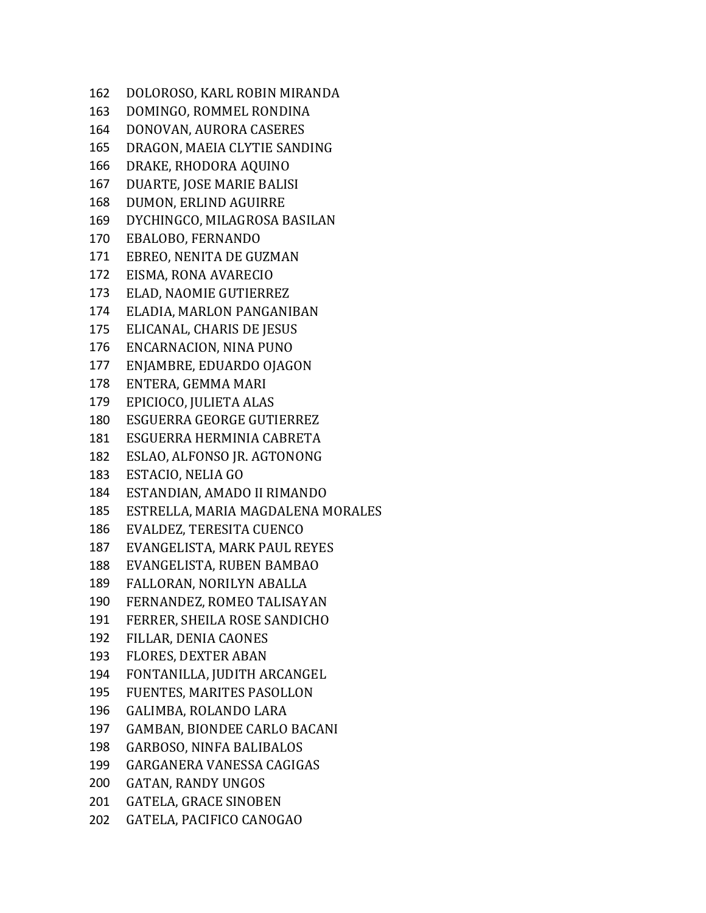DOLOROSO, KARL ROBIN MIRANDA DOMINGO, ROMMEL RONDINA DONOVAN, AURORA CASERES DRAGON, MAEIA CLYTIE SANDING DRAKE, RHODORA AQUINO DUARTE, JOSE MARIE BALISI DUMON, ERLIND AGUIRRE DYCHINGCO, MILAGROSA BASILAN EBALOBO, FERNANDO EBREO, NENITA DE GUZMAN EISMA, RONA AVARECIO ELAD, NAOMIE GUTIERREZ ELADIA, MARLON PANGANIBAN ELICANAL, CHARIS DE JESUS ENCARNACION, NINA PUNO ENJAMBRE, EDUARDO OJAGON ENTERA, GEMMA MARI EPICIOCO, JULIETA ALAS ESGUERRA GEORGE GUTIERREZ ESGUERRA HERMINIA CABRETA ESLAO, ALFONSO JR. AGTONONG ESTACIO, NELIA GO ESTANDIAN, AMADO II RIMANDO ESTRELLA, MARIA MAGDALENA MORALES EVALDEZ, TERESITA CUENCO EVANGELISTA, MARK PAUL REYES EVANGELISTA, RUBEN BAMBAO FALLORAN, NORILYN ABALLA FERNANDEZ, ROMEO TALISAYAN FERRER, SHEILA ROSE SANDICHO FILLAR, DENIA CAONES FLORES, DEXTER ABAN FONTANILLA, JUDITH ARCANGEL FUENTES, MARITES PASOLLON GALIMBA, ROLANDO LARA GAMBAN, BIONDEE CARLO BACANI GARBOSO, NINFA BALIBALOS GARGANERA VANESSA CAGIGAS GATAN, RANDY UNGOS GATELA, GRACE SINOBEN GATELA, PACIFICO CANOGAO